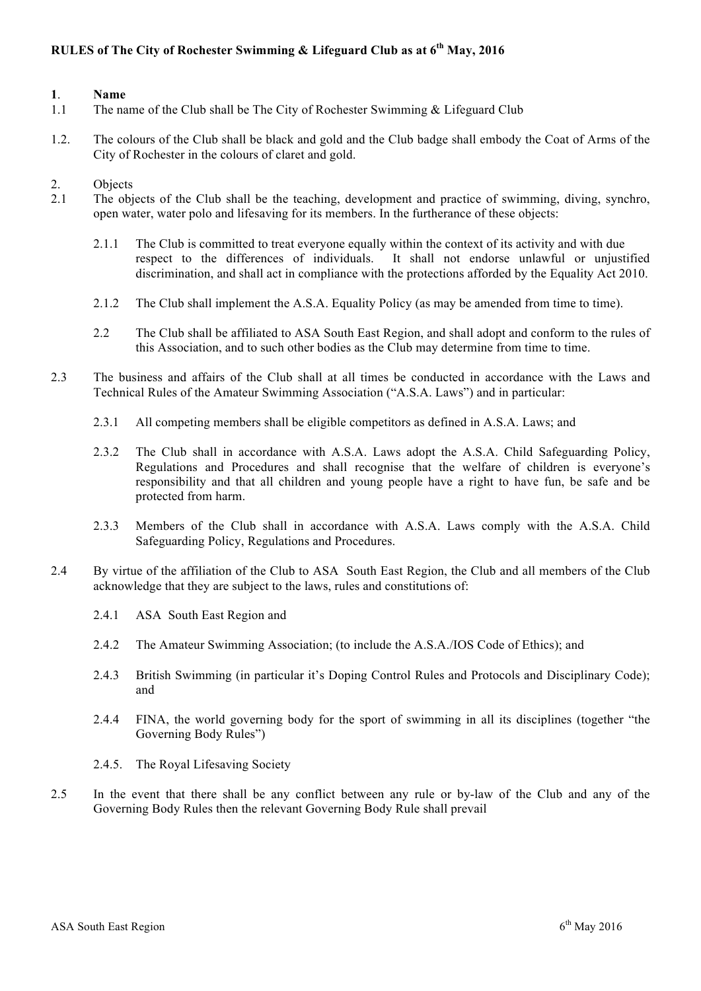# **1**. **Name**

- 1.1 The name of the Club shall be The City of Rochester Swimming & Lifeguard Club
- 1.2. The colours of the Club shall be black and gold and the Club badge shall embody the Coat of Arms of the City of Rochester in the colours of claret and gold.

# 2. Objects

- 2.1 The objects of the Club shall be the teaching, development and practice of swimming, diving, synchro, open water, water polo and lifesaving for its members. In the furtherance of these objects:
	- 2.1.1 The Club is committed to treat everyone equally within the context of its activity and with due respect to the differences of individuals. It shall not endorse unlawful or unjustified discrimination, and shall act in compliance with the protections afforded by the Equality Act 2010.
	- 2.1.2 The Club shall implement the A.S.A. Equality Policy (as may be amended from time to time).
	- 2.2 The Club shall be affiliated to ASA South East Region, and shall adopt and conform to the rules of this Association, and to such other bodies as the Club may determine from time to time.
- 2.3 The business and affairs of the Club shall at all times be conducted in accordance with the Laws and Technical Rules of the Amateur Swimming Association ("A.S.A. Laws") and in particular:
	- 2.3.1 All competing members shall be eligible competitors as defined in A.S.A. Laws; and
	- 2.3.2 The Club shall in accordance with A.S.A. Laws adopt the A.S.A. Child Safeguarding Policy, Regulations and Procedures and shall recognise that the welfare of children is everyone's responsibility and that all children and young people have a right to have fun, be safe and be protected from harm.
	- 2.3.3 Members of the Club shall in accordance with A.S.A. Laws comply with the A.S.A. Child Safeguarding Policy, Regulations and Procedures.
- 2.4 By virtue of the affiliation of the Club to ASA South East Region, the Club and all members of the Club acknowledge that they are subject to the laws, rules and constitutions of:
	- 2.4.1 ASA South East Region and
	- 2.4.2 The Amateur Swimming Association; (to include the A.S.A./IOS Code of Ethics); and
	- 2.4.3 British Swimming (in particular it's Doping Control Rules and Protocols and Disciplinary Code); and
	- 2.4.4 FINA, the world governing body for the sport of swimming in all its disciplines (together "the Governing Body Rules")
	- 2.4.5. The Royal Lifesaving Society
- 2.5 In the event that there shall be any conflict between any rule or by-law of the Club and any of the Governing Body Rules then the relevant Governing Body Rule shall prevail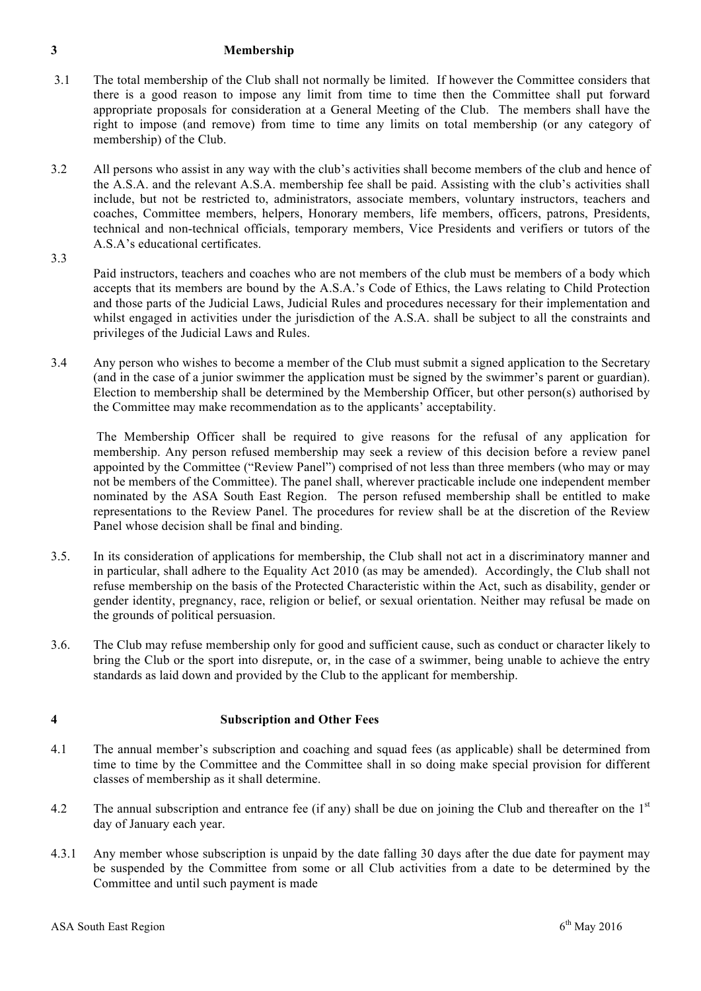## **3 Membership**

- 3.1 The total membership of the Club shall not normally be limited. If however the Committee considers that there is a good reason to impose any limit from time to time then the Committee shall put forward appropriate proposals for consideration at a General Meeting of the Club. The members shall have the right to impose (and remove) from time to time any limits on total membership (or any category of membership) of the Club.
- 3.2 All persons who assist in any way with the club's activities shall become members of the club and hence of the A.S.A. and the relevant A.S.A. membership fee shall be paid. Assisting with the club's activities shall include, but not be restricted to, administrators, associate members, voluntary instructors, teachers and coaches, Committee members, helpers, Honorary members, life members, officers, patrons, Presidents, technical and non-technical officials, temporary members, Vice Presidents and verifiers or tutors of the A.S.A's educational certificates.
	- Paid instructors, teachers and coaches who are not members of the club must be members of a body which accepts that its members are bound by the A.S.A.'s Code of Ethics, the Laws relating to Child Protection and those parts of the Judicial Laws, Judicial Rules and procedures necessary for their implementation and whilst engaged in activities under the jurisdiction of the A.S.A. shall be subject to all the constraints and privileges of the Judicial Laws and Rules.
- 3.4 Any person who wishes to become a member of the Club must submit a signed application to the Secretary (and in the case of a junior swimmer the application must be signed by the swimmer's parent or guardian). Election to membership shall be determined by the Membership Officer, but other person(s) authorised by the Committee may make recommendation as to the applicants' acceptability.

 The Membership Officer shall be required to give reasons for the refusal of any application for membership. Any person refused membership may seek a review of this decision before a review panel appointed by the Committee ("Review Panel") comprised of not less than three members (who may or may not be members of the Committee). The panel shall, wherever practicable include one independent member nominated by the ASA South East Region. The person refused membership shall be entitled to make representations to the Review Panel. The procedures for review shall be at the discretion of the Review Panel whose decision shall be final and binding.

- 3.5. In its consideration of applications for membership, the Club shall not act in a discriminatory manner and in particular, shall adhere to the Equality Act 2010 (as may be amended). Accordingly, the Club shall not refuse membership on the basis of the Protected Characteristic within the Act, such as disability, gender or gender identity, pregnancy, race, religion or belief, or sexual orientation. Neither may refusal be made on the grounds of political persuasion.
- 3.6. The Club may refuse membership only for good and sufficient cause, such as conduct or character likely to bring the Club or the sport into disrepute, or, in the case of a swimmer, being unable to achieve the entry standards as laid down and provided by the Club to the applicant for membership.

# **4 Subscription and Other Fees**

- 4.1 The annual member's subscription and coaching and squad fees (as applicable) shall be determined from time to time by the Committee and the Committee shall in so doing make special provision for different classes of membership as it shall determine.
- 4.2 The annual subscription and entrance fee (if any) shall be due on joining the Club and thereafter on the  $1<sup>st</sup>$ day of January each year.
- 4.3.1 Any member whose subscription is unpaid by the date falling 30 days after the due date for payment may be suspended by the Committee from some or all Club activities from a date to be determined by the Committee and until such payment is made

3.3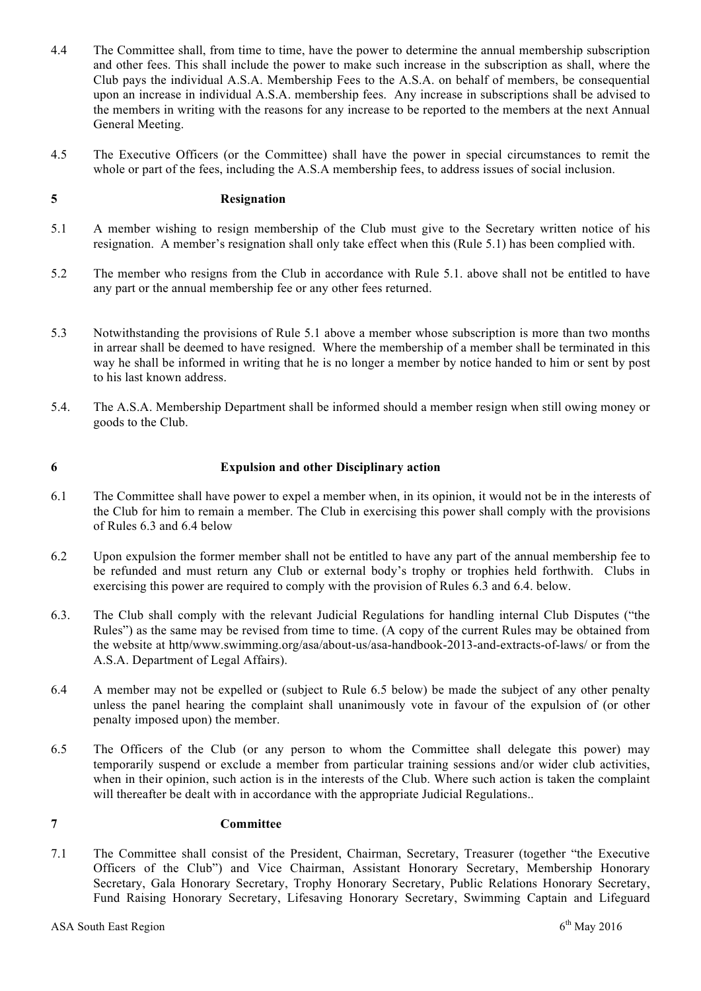- 4.4 The Committee shall, from time to time, have the power to determine the annual membership subscription and other fees. This shall include the power to make such increase in the subscription as shall, where the Club pays the individual A.S.A. Membership Fees to the A.S.A. on behalf of members, be consequential upon an increase in individual A.S.A. membership fees. Any increase in subscriptions shall be advised to the members in writing with the reasons for any increase to be reported to the members at the next Annual General Meeting.
- 4.5 The Executive Officers (or the Committee) shall have the power in special circumstances to remit the whole or part of the fees, including the A.S.A membership fees, to address issues of social inclusion.

## **5 Resignation**

- 5.1 A member wishing to resign membership of the Club must give to the Secretary written notice of his resignation. A member's resignation shall only take effect when this (Rule 5.1) has been complied with.
- 5.2 The member who resigns from the Club in accordance with Rule 5.1. above shall not be entitled to have any part or the annual membership fee or any other fees returned.
- 5.3 Notwithstanding the provisions of Rule 5.1 above a member whose subscription is more than two months in arrear shall be deemed to have resigned. Where the membership of a member shall be terminated in this way he shall be informed in writing that he is no longer a member by notice handed to him or sent by post to his last known address.
- 5.4. The A.S.A. Membership Department shall be informed should a member resign when still owing money or goods to the Club.

**6 Expulsion and other Disciplinary action**

- 6.1 The Committee shall have power to expel a member when, in its opinion, it would not be in the interests of the Club for him to remain a member. The Club in exercising this power shall comply with the provisions of Rules 6.3 and 6.4 below
- 6.2 Upon expulsion the former member shall not be entitled to have any part of the annual membership fee to be refunded and must return any Club or external body's trophy or trophies held forthwith. Clubs in exercising this power are required to comply with the provision of Rules 6.3 and 6.4. below.
- 6.3. The Club shall comply with the relevant Judicial Regulations for handling internal Club Disputes ("the Rules") as the same may be revised from time to time. (A copy of the current Rules may be obtained from the website at http/www.swimming.org/asa/about-us/asa-handbook-2013-and-extracts-of-laws/ or from the A.S.A. Department of Legal Affairs).
- 6.4 A member may not be expelled or (subject to Rule 6.5 below) be made the subject of any other penalty unless the panel hearing the complaint shall unanimously vote in favour of the expulsion of (or other penalty imposed upon) the member.
- 6.5 The Officers of the Club (or any person to whom the Committee shall delegate this power) may temporarily suspend or exclude a member from particular training sessions and/or wider club activities, when in their opinion, such action is in the interests of the Club. Where such action is taken the complaint will thereafter be dealt with in accordance with the appropriate Judicial Regulations..

# **7 Committee**

7.1 The Committee shall consist of the President, Chairman, Secretary, Treasurer (together "the Executive Officers of the Club") and Vice Chairman, Assistant Honorary Secretary, Membership Honorary Secretary, Gala Honorary Secretary, Trophy Honorary Secretary, Public Relations Honorary Secretary, Fund Raising Honorary Secretary, Lifesaving Honorary Secretary, Swimming Captain and Lifeguard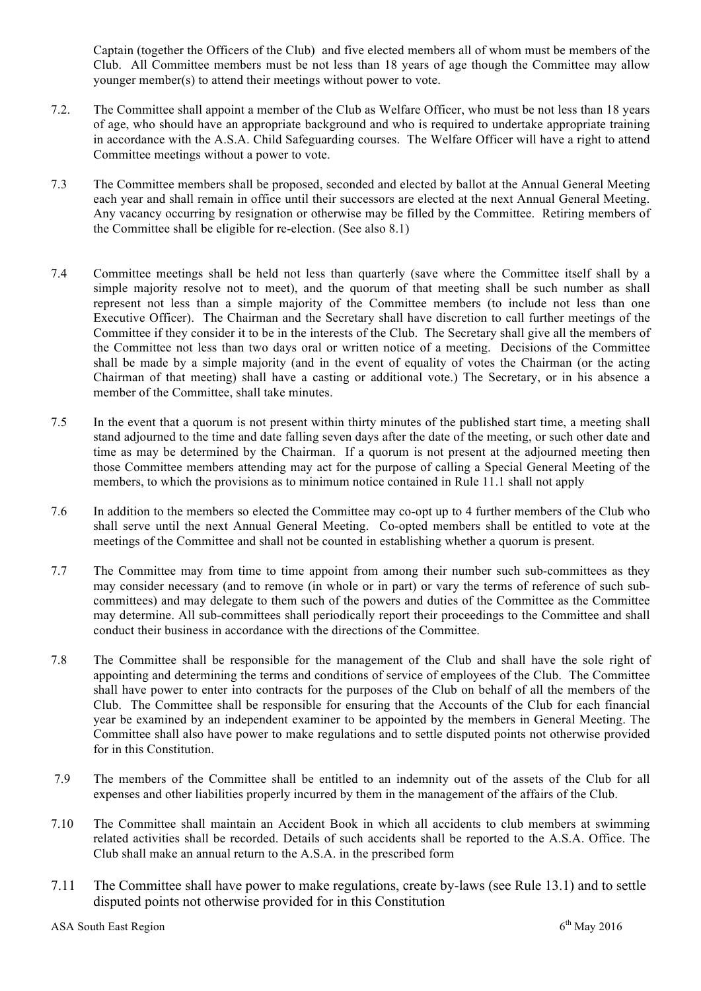Captain (together the Officers of the Club) and five elected members all of whom must be members of the Club. All Committee members must be not less than 18 years of age though the Committee may allow younger member(s) to attend their meetings without power to vote.

- 7.2. The Committee shall appoint a member of the Club as Welfare Officer, who must be not less than 18 years of age, who should have an appropriate background and who is required to undertake appropriate training in accordance with the A.S.A. Child Safeguarding courses. The Welfare Officer will have a right to attend Committee meetings without a power to vote.
- 7.3 The Committee members shall be proposed, seconded and elected by ballot at the Annual General Meeting each year and shall remain in office until their successors are elected at the next Annual General Meeting. Any vacancy occurring by resignation or otherwise may be filled by the Committee. Retiring members of the Committee shall be eligible for re-election. (See also 8.1)
- 7.4 Committee meetings shall be held not less than quarterly (save where the Committee itself shall by a simple majority resolve not to meet), and the quorum of that meeting shall be such number as shall represent not less than a simple majority of the Committee members (to include not less than one Executive Officer). The Chairman and the Secretary shall have discretion to call further meetings of the Committee if they consider it to be in the interests of the Club. The Secretary shall give all the members of the Committee not less than two days oral or written notice of a meeting. Decisions of the Committee shall be made by a simple majority (and in the event of equality of votes the Chairman (or the acting Chairman of that meeting) shall have a casting or additional vote.) The Secretary, or in his absence a member of the Committee, shall take minutes.
- 7.5 In the event that a quorum is not present within thirty minutes of the published start time, a meeting shall stand adjourned to the time and date falling seven days after the date of the meeting, or such other date and time as may be determined by the Chairman. If a quorum is not present at the adjourned meeting then those Committee members attending may act for the purpose of calling a Special General Meeting of the members, to which the provisions as to minimum notice contained in Rule 11.1 shall not apply
- 7.6 In addition to the members so elected the Committee may co-opt up to 4 further members of the Club who shall serve until the next Annual General Meeting. Co-opted members shall be entitled to vote at the meetings of the Committee and shall not be counted in establishing whether a quorum is present.
- 7.7 The Committee may from time to time appoint from among their number such sub-committees as they may consider necessary (and to remove (in whole or in part) or vary the terms of reference of such subcommittees) and may delegate to them such of the powers and duties of the Committee as the Committee may determine. All sub-committees shall periodically report their proceedings to the Committee and shall conduct their business in accordance with the directions of the Committee.
- 7.8 The Committee shall be responsible for the management of the Club and shall have the sole right of appointing and determining the terms and conditions of service of employees of the Club. The Committee shall have power to enter into contracts for the purposes of the Club on behalf of all the members of the Club. The Committee shall be responsible for ensuring that the Accounts of the Club for each financial year be examined by an independent examiner to be appointed by the members in General Meeting. The Committee shall also have power to make regulations and to settle disputed points not otherwise provided for in this Constitution.
- 7.9 The members of the Committee shall be entitled to an indemnity out of the assets of the Club for all expenses and other liabilities properly incurred by them in the management of the affairs of the Club.
- 7.10 The Committee shall maintain an Accident Book in which all accidents to club members at swimming related activities shall be recorded. Details of such accidents shall be reported to the A.S.A. Office. The Club shall make an annual return to the A.S.A. in the prescribed form
- 7.11 The Committee shall have power to make regulations, create by-laws (see Rule 13.1) and to settle disputed points not otherwise provided for in this Constitution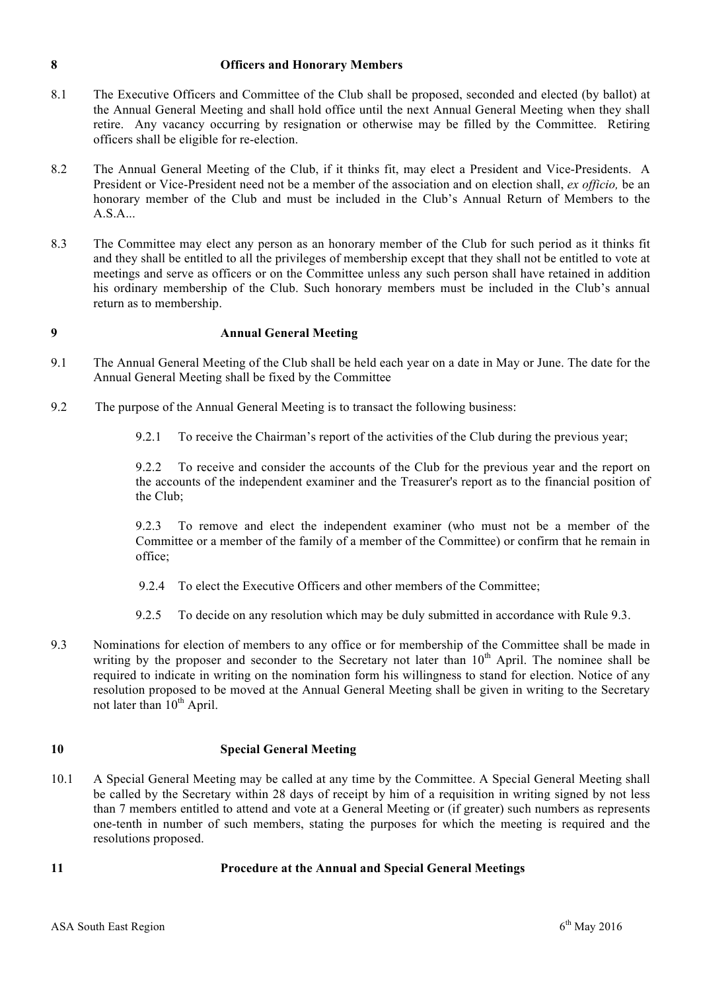## **8 Officers and Honorary Members**

- 8.1 The Executive Officers and Committee of the Club shall be proposed, seconded and elected (by ballot) at the Annual General Meeting and shall hold office until the next Annual General Meeting when they shall retire. Any vacancy occurring by resignation or otherwise may be filled by the Committee. Retiring officers shall be eligible for re-election.
- 8.2 The Annual General Meeting of the Club, if it thinks fit, may elect a President and Vice-Presidents. A President or Vice-President need not be a member of the association and on election shall, *ex officio,* be an honorary member of the Club and must be included in the Club's Annual Return of Members to the  $A.S.A...$
- 8.3 The Committee may elect any person as an honorary member of the Club for such period as it thinks fit and they shall be entitled to all the privileges of membership except that they shall not be entitled to vote at meetings and serve as officers or on the Committee unless any such person shall have retained in addition his ordinary membership of the Club. Such honorary members must be included in the Club's annual return as to membership.

## **9 Annual General Meeting**

- 9.1 The Annual General Meeting of the Club shall be held each year on a date in May or June. The date for the Annual General Meeting shall be fixed by the Committee
- 9.2 The purpose of the Annual General Meeting is to transact the following business:
	- 9.2.1 To receive the Chairman's report of the activities of the Club during the previous year;

9.2.2 To receive and consider the accounts of the Club for the previous year and the report on the accounts of the independent examiner and the Treasurer's report as to the financial position of the Club;

9.2.3 To remove and elect the independent examiner (who must not be a member of the Committee or a member of the family of a member of the Committee) or confirm that he remain in office;

- 9.2.4 To elect the Executive Officers and other members of the Committee;
- 9.2.5 To decide on any resolution which may be duly submitted in accordance with Rule 9.3.
- 9.3 Nominations for election of members to any office or for membership of the Committee shall be made in writing by the proposer and seconder to the Secretary not later than  $10<sup>th</sup>$  April. The nominee shall be required to indicate in writing on the nomination form his willingness to stand for election. Notice of any resolution proposed to be moved at the Annual General Meeting shall be given in writing to the Secretary not later than  $10^{th}$  April.

# **10 Special General Meeting**

10.1 A Special General Meeting may be called at any time by the Committee. A Special General Meeting shall be called by the Secretary within 28 days of receipt by him of a requisition in writing signed by not less than 7 members entitled to attend and vote at a General Meeting or (if greater) such numbers as represents one-tenth in number of such members, stating the purposes for which the meeting is required and the resolutions proposed.

### **11 Procedure at the Annual and Special General Meetings**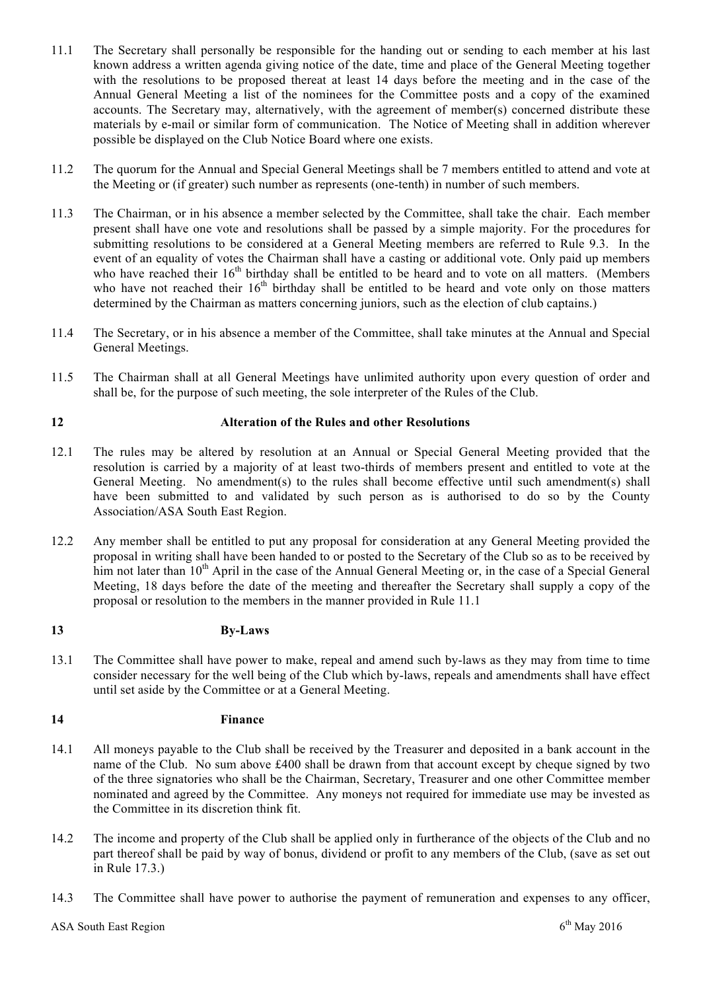- 11.1 The Secretary shall personally be responsible for the handing out or sending to each member at his last known address a written agenda giving notice of the date, time and place of the General Meeting together with the resolutions to be proposed thereat at least 14 days before the meeting and in the case of the Annual General Meeting a list of the nominees for the Committee posts and a copy of the examined accounts. The Secretary may, alternatively, with the agreement of member(s) concerned distribute these materials by e-mail or similar form of communication. The Notice of Meeting shall in addition wherever possible be displayed on the Club Notice Board where one exists.
- 11.2 The quorum for the Annual and Special General Meetings shall be 7 members entitled to attend and vote at the Meeting or (if greater) such number as represents (one-tenth) in number of such members.
- 11.3 The Chairman, or in his absence a member selected by the Committee, shall take the chair. Each member present shall have one vote and resolutions shall be passed by a simple majority. For the procedures for submitting resolutions to be considered at a General Meeting members are referred to Rule 9.3. In the event of an equality of votes the Chairman shall have a casting or additional vote. Only paid up members who have reached their  $16<sup>th</sup>$  birthday shall be entitled to be heard and to vote on all matters. (Members who have not reached their  $16<sup>th</sup>$  birthday shall be entitled to be heard and vote only on those matters determined by the Chairman as matters concerning juniors, such as the election of club captains.)
- 11.4 The Secretary, or in his absence a member of the Committee, shall take minutes at the Annual and Special General Meetings.
- 11.5 The Chairman shall at all General Meetings have unlimited authority upon every question of order and shall be, for the purpose of such meeting, the sole interpreter of the Rules of the Club.

# **12 Alteration of the Rules and other Resolutions**

- 12.1 The rules may be altered by resolution at an Annual or Special General Meeting provided that the resolution is carried by a majority of at least two-thirds of members present and entitled to vote at the General Meeting. No amendment(s) to the rules shall become effective until such amendment(s) shall have been submitted to and validated by such person as is authorised to do so by the County Association/ASA South East Region.
- 12.2 Any member shall be entitled to put any proposal for consideration at any General Meeting provided the proposal in writing shall have been handed to or posted to the Secretary of the Club so as to be received by him not later than 10<sup>th</sup> April in the case of the Annual General Meeting or, in the case of a Special General Meeting, 18 days before the date of the meeting and thereafter the Secretary shall supply a copy of the proposal or resolution to the members in the manner provided in Rule 11.1

### **13 By-Laws**

13.1 The Committee shall have power to make, repeal and amend such by-laws as they may from time to time consider necessary for the well being of the Club which by-laws, repeals and amendments shall have effect until set aside by the Committee or at a General Meeting.

## **14 Finance**

- 14.1 All moneys payable to the Club shall be received by the Treasurer and deposited in a bank account in the name of the Club. No sum above £400 shall be drawn from that account except by cheque signed by two of the three signatories who shall be the Chairman, Secretary, Treasurer and one other Committee member nominated and agreed by the Committee. Any moneys not required for immediate use may be invested as the Committee in its discretion think fit.
- 14.2 The income and property of the Club shall be applied only in furtherance of the objects of the Club and no part thereof shall be paid by way of bonus, dividend or profit to any members of the Club, (save as set out in Rule 17.3.)
- 14.3 The Committee shall have power to authorise the payment of remuneration and expenses to any officer,